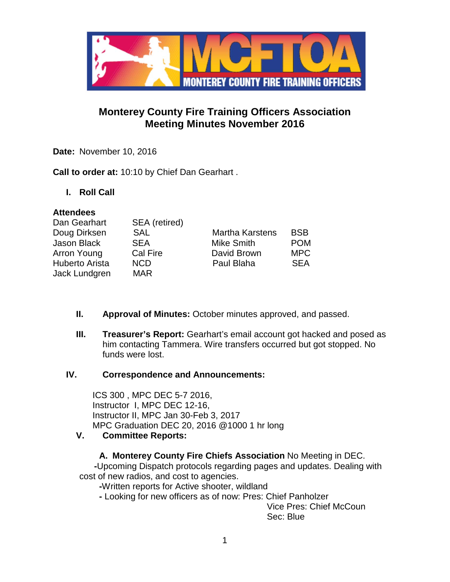

# **Monterey County Fire Training Officers Association Meeting Minutes November 2016**

**Date:** November 10, 2016

**Call to order at:** 10:10 by Chief Dan Gearhart .

**I. Roll Call**

## **Attendees**

| Dan Gearhart   | SEA (retired) |                        |            |
|----------------|---------------|------------------------|------------|
| Doug Dirksen   | <b>SAL</b>    | <b>Martha Karstens</b> | <b>BSB</b> |
| Jason Black    | <b>SEA</b>    | <b>Mike Smith</b>      | <b>POM</b> |
| Arron Young    | Cal Fire      | David Brown            | <b>MPC</b> |
| Huberto Arista | <b>NCD</b>    | Paul Blaha             | <b>SEA</b> |
| Jack Lundgren  | <b>MAR</b>    |                        |            |

- **II. Approval of Minutes:** October minutes approved, and passed.
- **III. Treasurer's Report:** Gearhart's email account got hacked and posed as him contacting Tammera. Wire transfers occurred but got stopped. No funds were lost.

## **IV. Correspondence and Announcements:**

ICS 300 , MPC DEC 5-7 2016, Instructor I, MPC DEC 12-16, Instructor II, MPC Jan 30-Feb 3, 2017 MPC Graduation DEC 20, 2016 @1000 1 hr long

## **V. Committee Reports:**

# **A. Monterey County Fire Chiefs Association** No Meeting in DEC.

 **-**Upcoming Dispatch protocols regarding pages and updates. Dealing with cost of new radios, and cost to agencies.

**-**Written reports for Active shooter, wildland

**-** Looking for new officers as of now: Pres: Chief Panholzer

Vice Pres: Chief McCoun Sec: Blue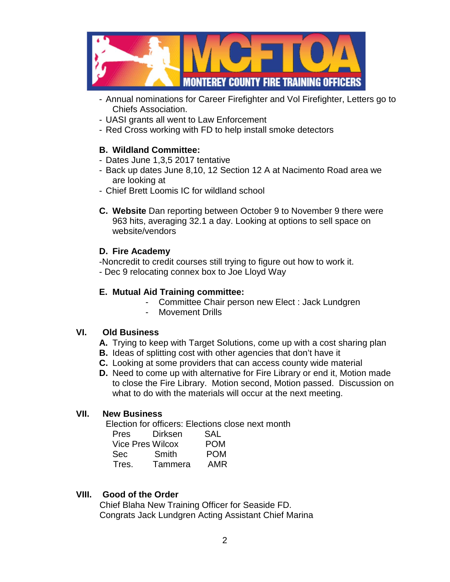

- Annual nominations for Career Firefighter and Vol Firefighter, Letters go to Chiefs Association.
- UASI grants all went to Law Enforcement
- Red Cross working with FD to help install smoke detectors

# **B. Wildland Committee:**

- Dates June 1,3,5 2017 tentative
- Back up dates June 8,10, 12 Section 12 A at Nacimento Road area we are looking at
- Chief Brett Loomis IC for wildland school
- **C. Website** Dan reporting between October 9 to November 9 there were 963 hits, averaging 32.1 a day. Looking at options to sell space on website/vendors

## **D. Fire Academy**

-Noncredit to credit courses still trying to figure out how to work it. - Dec 9 relocating connex box to Joe Lloyd Way

## **E. Mutual Aid Training committee:**

- Committee Chair person new Elect : Jack Lundgren
- Movement Drills

## **VI. Old Business**

- **A.** Trying to keep with Target Solutions, come up with a cost sharing plan
- **B.** Ideas of splitting cost with other agencies that don't have it
- **C.** Looking at some providers that can access county wide material
- **D.** Need to come up with alternative for Fire Library or end it, Motion made to close the Fire Library. Motion second, Motion passed. Discussion on what to do with the materials will occur at the next meeting.

# **VII. New Business**

Election for officers: Elections close next month

| <b>Pres</b> | Dirksen                 | SAL        |
|-------------|-------------------------|------------|
|             | <b>Vice Pres Wilcox</b> | <b>POM</b> |
| <b>Sec</b>  | Smith                   | <b>POM</b> |
| Tres.       | Tammera                 | AMR        |

# **VIII. Good of the Order**

 Chief Blaha New Training Officer for Seaside FD. Congrats Jack Lundgren Acting Assistant Chief Marina